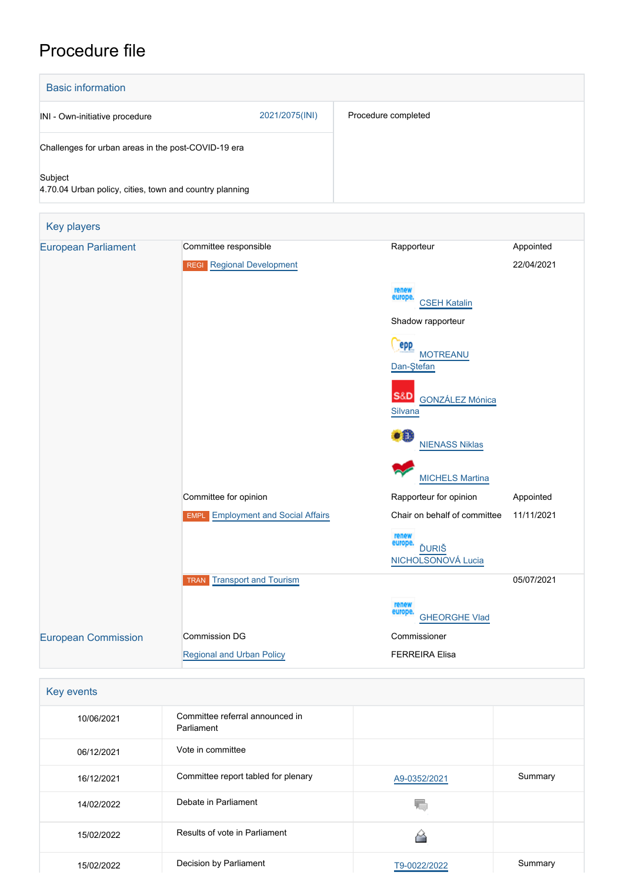# Procedure file

| <b>Basic information</b>                                           |                |                     |
|--------------------------------------------------------------------|----------------|---------------------|
| INI - Own-initiative procedure                                     | 2021/2075(INI) | Procedure completed |
| Challenges for urban areas in the post-COVID-19 era                |                |                     |
| Subject<br>4.70.04 Urban policy, cities, town and country planning |                |                     |

| <b>Key players</b>         |                                           |                                                        |            |
|----------------------------|-------------------------------------------|--------------------------------------------------------|------------|
| <b>European Parliament</b> | Committee responsible                     | Rapporteur                                             | Appointed  |
|                            | <b>REGI</b> Regional Development          |                                                        | 22/04/2021 |
|                            |                                           | renew<br>europe.<br><b>CSEH Katalin</b>                |            |
|                            |                                           | Shadow rapporteur                                      |            |
|                            |                                           | epp<br><b>MOTREANU</b><br>Dan-Ştefan                   |            |
|                            |                                           | <b>S&amp;D</b><br>GONZÁLEZ Mónica<br>Silvana           |            |
|                            |                                           | ٠Ĥ<br><b>NIENASS Niklas</b>                            |            |
|                            |                                           | <b>MICHELS Martina</b>                                 |            |
|                            | Committee for opinion                     | Rapporteur for opinion                                 | Appointed  |
|                            | <b>EMPL</b> Employment and Social Affairs | Chair on behalf of committee                           | 11/11/2021 |
|                            |                                           | renew<br>europe.<br><b>ĎURIŠ</b><br>NICHOLSONOVÁ Lucia |            |
|                            | <b>TRAN</b> Transport and Tourism         |                                                        | 05/07/2021 |
|                            |                                           | renew<br>europe.<br><b>GHEORGHE Vlad</b>               |            |
| <b>European Commission</b> | <b>Commission DG</b>                      | Commissioner                                           |            |
|                            | <b>Regional and Urban Policy</b>          | <b>FERREIRA Elisa</b>                                  |            |

| Key events |                                               |              |         |
|------------|-----------------------------------------------|--------------|---------|
| 10/06/2021 | Committee referral announced in<br>Parliament |              |         |
| 06/12/2021 | Vote in committee                             |              |         |
| 16/12/2021 | Committee report tabled for plenary           | A9-0352/2021 | Summary |
| 14/02/2022 | Debate in Parliament                          |              |         |
| 15/02/2022 | Results of vote in Parliament                 |              |         |
| 15/02/2022 | Decision by Parliament                        | T9-0022/2022 | Summary |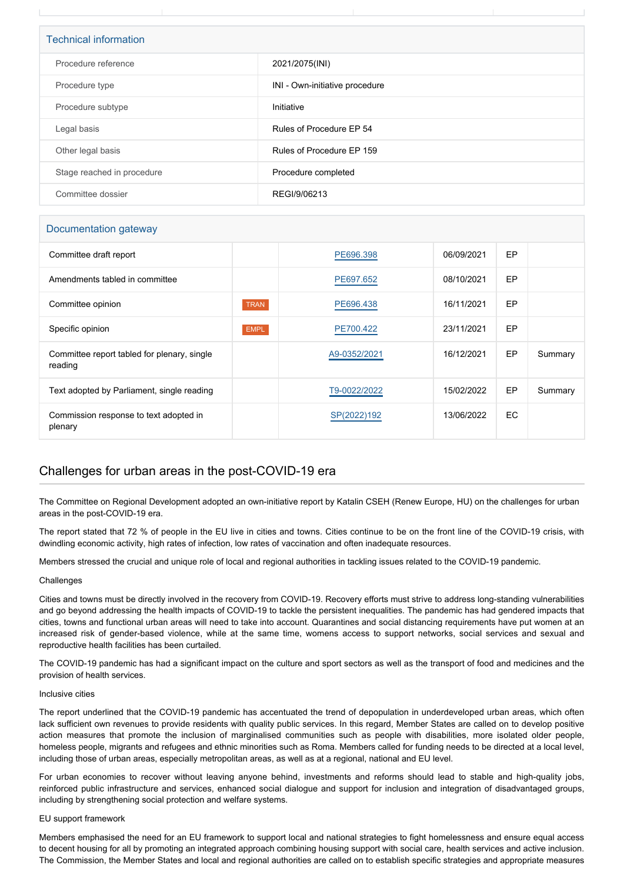| <b>Technical information</b> |                                |  |  |
|------------------------------|--------------------------------|--|--|
| Procedure reference          | 2021/2075(INI)                 |  |  |
| Procedure type               | INI - Own-initiative procedure |  |  |
| Procedure subtype            | Initiative                     |  |  |
| Legal basis                  | Rules of Procedure EP 54       |  |  |
| Other legal basis            | Rules of Procedure EP 159      |  |  |
| Stage reached in procedure   | Procedure completed            |  |  |
| Committee dossier            | REGI/9/06213                   |  |  |

# Documentation gateway

| Committee draft report                                 |             | PE696.398    | 06/09/2021 | EP |         |
|--------------------------------------------------------|-------------|--------------|------------|----|---------|
| Amendments tabled in committee                         |             | PE697.652    | 08/10/2021 | EP |         |
| Committee opinion                                      | <b>TRAN</b> | PE696,438    | 16/11/2021 | EP |         |
| Specific opinion                                       | <b>EMPL</b> | PE700.422    | 23/11/2021 | EP |         |
| Committee report tabled for plenary, single<br>reading |             | A9-0352/2021 | 16/12/2021 | EP | Summary |
| Text adopted by Parliament, single reading             |             | T9-0022/2022 | 15/02/2022 | EP | Summary |
| Commission response to text adopted in<br>plenary      |             | SP(2022)192  | 13/06/2022 | EC |         |

# Challenges for urban areas in the post-COVID-19 era

The Committee on Regional Development adopted an own-initiative report by Katalin CSEH (Renew Europe, HU) on the challenges for urban areas in the post-COVID-19 era.

The report stated that 72 % of people in the EU live in cities and towns. Cities continue to be on the front line of the COVID-19 crisis, with dwindling economic activity, high rates of infection, low rates of vaccination and often inadequate resources.

Members stressed the crucial and unique role of local and regional authorities in tackling issues related to the COVID-19 pandemic.

#### **Challenges**

Cities and towns must be directly involved in the recovery from COVID-19. Recovery efforts must strive to address long-standing vulnerabilities and go beyond addressing the health impacts of COVID-19 to tackle the persistent inequalities. The pandemic has had gendered impacts that cities, towns and functional urban areas will need to take into account. Quarantines and social distancing requirements have put women at an increased risk of gender-based violence, while at the same time, womens access to support networks, social services and sexual and reproductive health facilities has been curtailed.

The COVID-19 pandemic has had a significant impact on the culture and sport sectors as well as the transport of food and medicines and the provision of health services.

#### Inclusive cities

The report underlined that the COVID-19 pandemic has accentuated the trend of depopulation in underdeveloped urban areas, which often lack sufficient own revenues to provide residents with quality public services. In this regard, Member States are called on to develop positive action measures that promote the inclusion of marginalised communities such as people with disabilities, more isolated older people, homeless people, migrants and refugees and ethnic minorities such as Roma. Members called for funding needs to be directed at a local level, including those of urban areas, especially metropolitan areas, as well as at a regional, national and EU level.

For urban economies to recover without leaving anyone behind, investments and reforms should lead to stable and high-quality jobs, reinforced public infrastructure and services, enhanced social dialogue and support for inclusion and integration of disadvantaged groups, including by strengthening social protection and welfare systems.

#### EU support framework

Members emphasised the need for an EU framework to support local and national strategies to fight homelessness and ensure equal access to decent housing for all by promoting an integrated approach combining housing support with social care, health services and active inclusion. The Commission, the Member States and local and regional authorities are called on to establish specific strategies and appropriate measures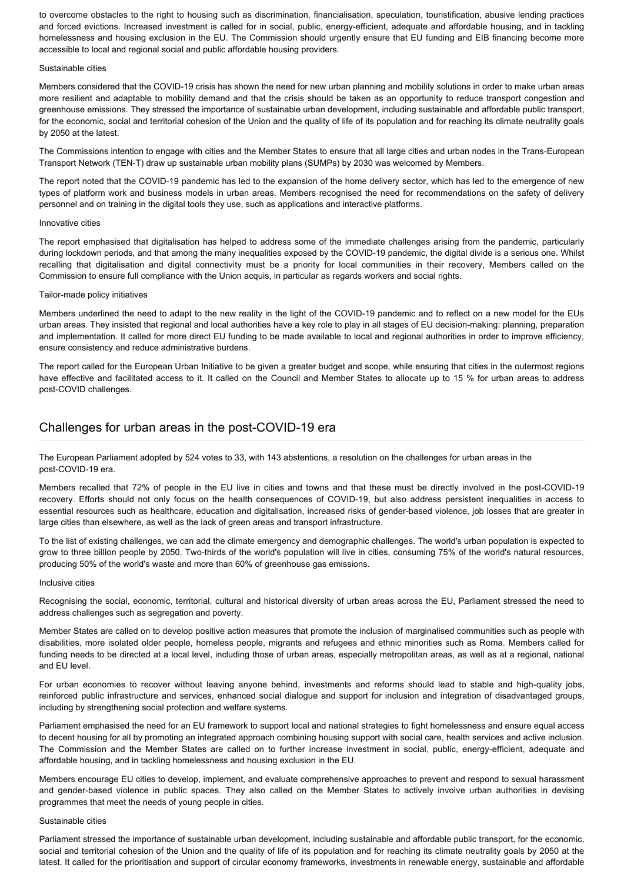to overcome obstacles to the right to housing such as discrimination, financialisation, speculation, touristification, abusive lending practices and forced evictions. Increased investment is called for in social, public, energy-efficient, adequate and affordable housing, and in tackling homelessness and housing exclusion in the EU. The Commission should urgently ensure that EU funding and EIB financing become more accessible to local and regional social and public affordable housing providers.

#### Sustainable cities

Members considered that the COVID-19 crisis has shown the need for new urban planning and mobility solutions in order to make urban areas more resilient and adaptable to mobility demand and that the crisis should be taken as an opportunity to reduce transport congestion and greenhouse emissions. They stressed the importance of sustainable urban development, including sustainable and affordable public transport, for the economic, social and territorial cohesion of the Union and the quality of life of its population and for reaching its climate neutrality goals by 2050 at the latest.

The Commissions intention to engage with cities and the Member States to ensure that all large cities and urban nodes in the Trans-European Transport Network (TEN-T) draw up sustainable urban mobility plans (SUMPs) by 2030 was welcomed by Members.

The report noted that the COVID-19 pandemic has led to the expansion of the home delivery sector, which has led to the emergence of new types of platform work and business models in urban areas. Members recognised the need for recommendations on the safety of delivery personnel and on training in the digital tools they use, such as applications and interactive platforms.

#### Innovative cities

The report emphasised that digitalisation has helped to address some of the immediate challenges arising from the pandemic, particularly during lockdown periods, and that among the many inequalities exposed by the COVID-19 pandemic, the digital divide is a serious one. Whilst recalling that digitalisation and digital connectivity must be a priority for local communities in their recovery, Members called on the Commission to ensure full compliance with the Union acquis, in particular as regards workers and social rights.

#### Tailor-made policy initiatives

Members underlined the need to adapt to the new reality in the light of the COVID-19 pandemic and to reflect on a new model for the EUs urban areas. They insisted that regional and local authorities have a key role to play in all stages of EU decision-making: planning, preparation and implementation. It called for more direct EU funding to be made available to local and regional authorities in order to improve efficiency, ensure consistency and reduce administrative burdens.

The report called for the European Urban Initiative to be given a greater budget and scope, while ensuring that cities in the outermost regions have effective and facilitated access to it. It called on the Council and Member States to allocate up to 15 % for urban areas to address post-COVID challenges.

# Challenges for urban areas in the post-COVID-19 era

The European Parliament adopted by 524 votes to 33, with 143 abstentions, a resolution on the challenges for urban areas in the post-COVID-19 era.

Members recalled that 72% of people in the EU live in cities and towns and that these must be directly involved in the post-COVID-19 recovery. Efforts should not only focus on the health consequences of COVID-19, but also address persistent inequalities in access to essential resources such as healthcare, education and digitalisation, increased risks of gender-based violence, job losses that are greater in large cities than elsewhere, as well as the lack of green areas and transport infrastructure.

To the list of existing challenges, we can add the climate emergency and demographic challenges. The world's urban population is expected to grow to three billion people by 2050. Two-thirds of the world's population will live in cities, consuming 75% of the world's natural resources, producing 50% of the world's waste and more than 60% of greenhouse gas emissions.

#### Inclusive cities

Recognising the social, economic, territorial, cultural and historical diversity of urban areas across the EU, Parliament stressed the need to address challenges such as segregation and poverty.

Member States are called on to develop positive action measures that promote the inclusion of marginalised communities such as people with disabilities, more isolated older people, homeless people, migrants and refugees and ethnic minorities such as Roma. Members called for funding needs to be directed at a local level, including those of urban areas, especially metropolitan areas, as well as at a regional, national and EU level.

For urban economies to recover without leaving anyone behind, investments and reforms should lead to stable and high-quality jobs, reinforced public infrastructure and services, enhanced social dialogue and support for inclusion and integration of disadvantaged groups, including by strengthening social protection and welfare systems.

Parliament emphasised the need for an EU framework to support local and national strategies to fight homelessness and ensure equal access to decent housing for all by promoting an integrated approach combining housing support with social care, health services and active inclusion. The Commission and the Member States are called on to further increase investment in social, public, energy-efficient, adequate and affordable housing, and in tackling homelessness and housing exclusion in the EU.

Members encourage EU cities to develop, implement, and evaluate comprehensive approaches to prevent and respond to sexual harassment and gender-based violence in public spaces. They also called on the Member States to actively involve urban authorities in devising programmes that meet the needs of young people in cities.

## Sustainable cities

Parliament stressed the importance of sustainable urban development, including sustainable and affordable public transport, for the economic, social and territorial cohesion of the Union and the quality of life of its population and for reaching its climate neutrality goals by 2050 at the latest. It called for the prioritisation and support of circular economy frameworks, investments in renewable energy, sustainable and affordable